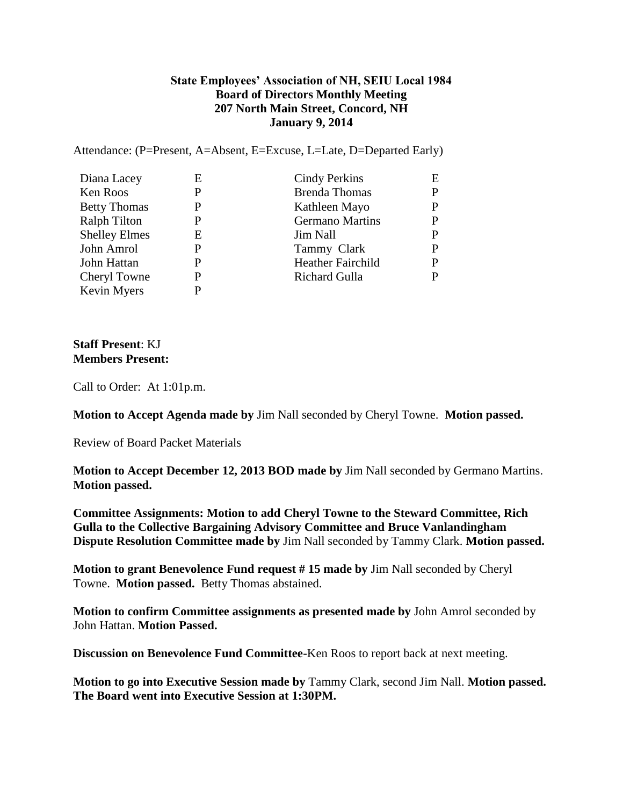## **State Employees' Association of NH, SEIU Local 1984 Board of Directors Monthly Meeting 207 North Main Street, Concord, NH January 9, 2014**

Attendance: (P=Present, A=Absent, E=Excuse, L=Late, D=Departed Early)

| Diana Lacey          | Е | Cindy Perkins            | E |
|----------------------|---|--------------------------|---|
| Ken Roos             | P | <b>Brenda Thomas</b>     | D |
| <b>Betty Thomas</b>  | P | Kathleen Mayo            | D |
| <b>Ralph Tilton</b>  | P | <b>Germano Martins</b>   |   |
| <b>Shelley Elmes</b> | Е | Jim Nall                 | P |
| John Amrol           | P | Tammy Clark              |   |
| John Hattan          | P | <b>Heather Fairchild</b> | р |
| Cheryl Towne         | P | Richard Gulla            |   |
| Kevin Myers          | P |                          |   |

## **Staff Present**: KJ **Members Present:**

Call to Order: At 1:01p.m.

**Motion to Accept Agenda made by** Jim Nall seconded by Cheryl Towne. **Motion passed.**

Review of Board Packet Materials

**Motion to Accept December 12, 2013 BOD made by** Jim Nall seconded by Germano Martins. **Motion passed.**

**Committee Assignments: Motion to add Cheryl Towne to the Steward Committee, Rich Gulla to the Collective Bargaining Advisory Committee and Bruce Vanlandingham Dispute Resolution Committee made by** Jim Nall seconded by Tammy Clark. **Motion passed.**

**Motion to grant Benevolence Fund request # 15 made by** Jim Nall seconded by Cheryl Towne. **Motion passed.** Betty Thomas abstained.

**Motion to confirm Committee assignments as presented made by** John Amrol seconded by John Hattan. **Motion Passed.**

**Discussion on Benevolence Fund Committee-**Ken Roos to report back at next meeting.

**Motion to go into Executive Session made by** Tammy Clark, second Jim Nall. **Motion passed. The Board went into Executive Session at 1:30PM.**